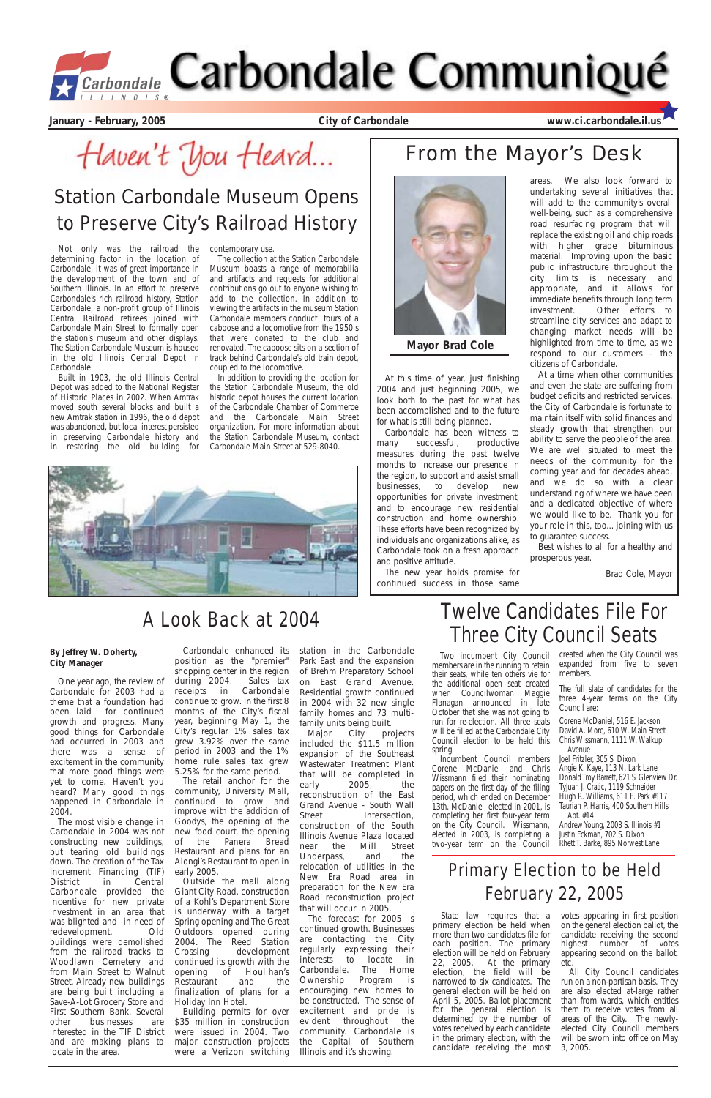At this time of year, just finishing 2004 and just beginning 2005, we look both to the past for what has been accomplished and to the future for what is still being planned.

Carbondale has been witness to many successful, productive measures during the past twelve months to increase our presence in the region, to support and assist small businesses, to develop new opportunities for private investment, and to encourage new residential construction and home ownership. These efforts have been recognized by individuals and organizations alike, as Carbondale took on a fresh approach and positive attitude.

The new year holds promise for continued success in those same undertaking several initiatives that will add to the community's overall well-being, such as a comprehensive road resurfacing program that will replace the existing oil and chip roads with higher grade bituminous material. Improving upon the basic public infrastructure throughout the city limits is necessary and appropriate, and it allows for immediate benefits through long term investment. Other efforts to streamline city services and adapt to changing market needs will be highlighted from time to time, as we respond to our customers – the citizens of Carbondale.

### areas. We also look forward to From the Mayor's Desk

At a time when other communities and even the state are suffering from budget deficits and restricted services, the City of Carbondale is fortunate to maintain itself with solid finances and steady growth that strengthen our ability to serve the people of the area. We are well situated to meet the needs of the community for the coming year and for decades ahead, and we do so with a clear understanding of where we have been and a dedicated objective of where we would like to be. Thank you for your role in this, too... joining with us to guarantee success.

Best wishes to all for a healthy and prosperous year.

Brad Cole, Mayor

**January - February, 2005 City of Carbondale www.ci.carbondale.il.us**

Haven't You Heard...

## Station Carbondale Museum Opens to Preserve City's Railroad History

Not only was the railroad the determining factor in the location of Carbondale, it was of great importance in the development of the town and of Southern Illinois. In an effort to preserve Carbondale's rich railroad history, Station Carbondale, a non-profit group of Illinois Central Railroad retirees joined with Carbondale Main Street to formally open the station's museum and other displays. The Station Carbondale Museum is housed in the old Illinois Central Depot in Carbondale.

Built in 1903, the old Illinois Central Depot was added to the National Register of Historic Places in 2002. When Amtrak moved south several blocks and built a new Amtrak station in 1996, the old depot was abandoned, but local interest persisted in preserving Carbondale history and in restoring the old building for

contemporary use.

The collection at the Station Carbondale Museum boasts a range of memorabilia and artifacts and requests for additional contributions go out to anyone wishing to add to the collection. In addition to viewing the artifacts in the museum Station Carbondale members conduct tours of a caboose and a locomotive from the 1950's that were donated to the club and renovated. The caboose sits on a section of track behind Carbondale's old train depot, coupled to the locomotive.

> family units being built.<br>Major City pro City projects included the \$11.5 million expansion of the Southeast Wastewater Treatment Plant that will be completed in early 2005, the reconstruction of the East Grand Avenue - South Wall Street Intersection, construction of the South Illinois Avenue Plaza located near the Mill Street Underpass, and the relocation of utilities in the New Era Road area in preparation for the New Era Road reconstruction project that will occur in 2005. The forecast for 2005 is continued growth. Businesses are contacting the City regularly expressing their interests to locate in Carbondale. The Home Ownership Program is encouraging new homes to be constructed. The sense of excitement and pride is evident throughout the community. Carbondale is the Capital of Southern Illinois and it's showing.

In addition to providing the location for the Station Carbondale Museum, the old historic depot houses the current location of the Carbondale Chamber of Commerce and the Carbondale Main Street organization. For more information about the Station Carbondale Museum, contact Carbondale Main Street at 529-8040.





**Mayor Brad Cole**

One year ago, the review of Carbondale for 2003 had a theme that a foundation had been laid for continued growth and progress. Many good things for Carbondale had occurred in 2003 and there was a sense of excitement in the community that more good things were yet to come. Haven't you heard? Many good things happened in Carbondale in

2004.

State law requires that a votes appearing in first position on the general election ballot, the candidate receiving the second highest number of votes appearing second on the ballot, etc.

The most visible change in Carbondale in 2004 was not constructing new buildings, but tearing old buildings down. The creation of the Tax Increment Financing (TIF) District in Central Carbondale provided the incentive for new private investment in an area that was blighted and in need of redevelopment. Old buildings were demolished from the railroad tracks to Woodlawn Cemetery and from Main Street to Walnut Street. Already new buildings are being built including a Save-A-Lot Grocery Store and First Southern Bank. Several other businesses are interested in the TIF District and are making plans to locate in the area.

Carbondale enhanced its

position as the "premier" shopping center in the region<br>during 2004. Sales tax during  $2004$ . receipts in Carbondale continue to grow. In the first 8 months of the City's fiscal year, beginning May 1, the City's regular 1% sales tax grew 3.92% over the same period in 2003 and the 1% home rule sales tax grew 5.25% for the same period.

The retail anchor for the community, University Mall, continued to grow and improve with the addition of Goodys, the opening of the new food court, the opening of the Panera Bread Restaurant and plans for an Alongi's Restaurant to open in early 2005. Outside the mall along Giant City Road, construction of a Kohl's Department Store is underway with a target Spring opening and The Great Outdoors opened during 2004. The Reed Station Crossing development continued its growth with the<br>opening of Houlihan's opening of Restaurant and the finalization of plans for a Holiday Inn Hotel. Building permits for over \$35 million in construction were issued in 2004. Two major construction projects were a Verizon switching

station in the Carbondale Park East and the expansion of Brehm Preparatory School on East Grand Avenue. Residential growth continued in 2004 with 32 new single family homes and 73 multi-

#### A Look Back at 2004



## Twelve Candidates File For Three City Council Seats

members are in the running to retain their seats, while ten others vie for the additional open seat created when Councilwoman Maggie Flanagan announced in late October that she was not going to run for re-election. All three seats will be filled at the Carbondale City Council election to be held this spring.

Corene McDaniel and Chris Wissmann filed their nominating papers on the first day of the filing period, which ended on December

primary election be held when more than two candidates file for each position. The primary election will be held on February 22, 2005. At the primary election, the field will be narrowed to six candidates. The general election will be held on April 5, 2005. Ballot placement for the general election is determined by the number of votes received by each candidate in the primary election, with the candidate receiving the most

Two incumbent City Council created when the City Council was expanded from five to seven members.

Incumbent Council members 13th. McDaniel, elected in 2001, is completing her first four-year term on the City Council. Wissmann, elected in 2003, is completing a two-year term on the Council Rhett I.Barke, 895 Norwest-Lane Joel Fritzler, 305 S. Dixon Angie K. Kaye, 113 N. Lark Lane Donald Troy Barrett, 621 S. Glenview Dr. TyJuan J. Cratic, 1119 Schneider Hugh R. Williams, 611 E. Park #117 Taurian P. Harris, 400 Southern Hills Apt. #14 Andrew Young, 2008 S. Illinois #1 Justin Eckman, 702 S. Dixon

> All City Council candidates run on a non-partisan basis. They are also elected at-large rather than from wards, which entitles them to receive votes from all areas of the City. The newlyelected City Council members will be sworn into office on May 3, 2005.

### Primary Election to be Held February 22, 2005

#### **By Jeffrey W. Doherty, City Manager**

The full slate of candidates for the three 4-year terms on the City Council are:

Corene McDaniel, 516 E. Jackson David A. More, 610 W. Main Street Chris Wissmann, 1111 W. Walkup Avenue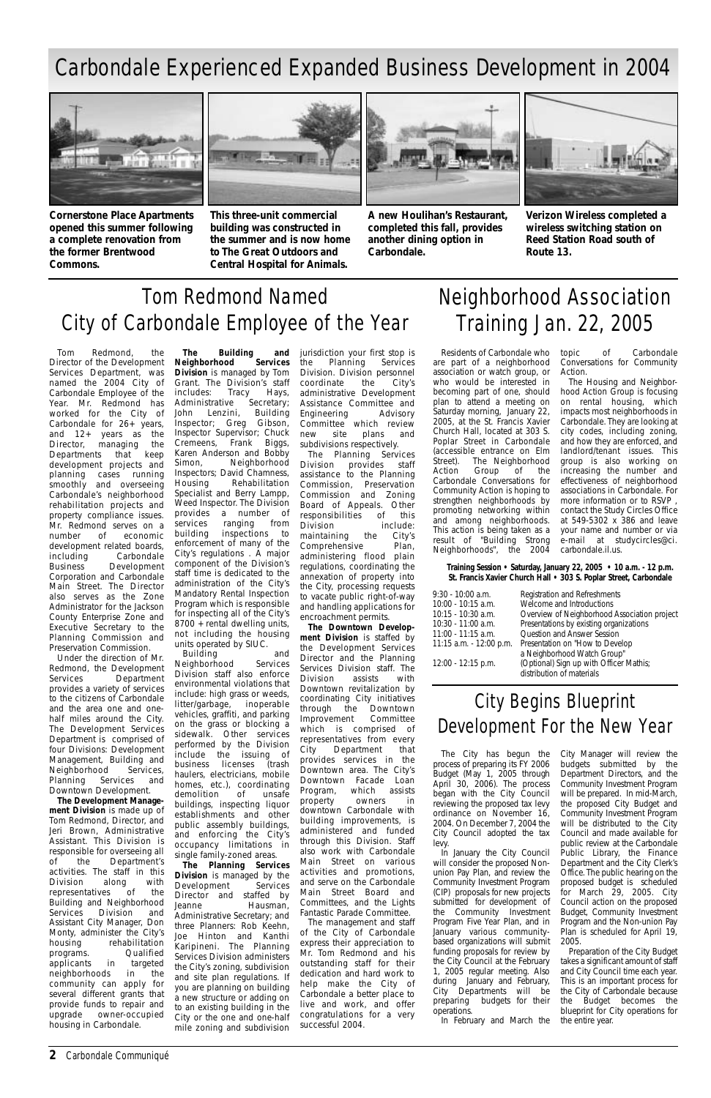#### **2** Carbondale Communiqué

The City has begun the process of preparing its FY 2006 Budget (May 1, 2005 through April 30, 2006). The process began with the City Council reviewing the proposed tax levy ordinance on November 16, 2004. On December 7, 2004 the City Council adopted the tax levy. In January the City Council will consider the proposed Nonunion Pay Plan, and review the Community Investment Program (CIP) proposals for new projects submitted for development of the Community Investment Program Five Year Plan, and in January various communitybased organizations will submit funding proposals for review by the City Council at the February 1, 2005 regular meeting. Also during January and February, City Departments will be preparing budgets for their operations.

In February and March the

City Manager will review the budgets submitted by the Department Directors, and the Community Investment Program will be prepared. In mid-March, the proposed City Budget and Community Investment Program will be distributed to the City Council and made available for public review at the Carbondale Public Library, the Finance Department and the City Clerk's Office. The public hearing on the proposed budget is scheduled for March 29, 2005. City Council action on the proposed Budget, Community Investment Program and the Non-union Pay Plan is scheduled for April 19. 2005. Preparation of the City Budget takes a significant amount of staff and City Council time each year. This is an important process for the City of Carbondale because the Budget becomes the blueprint for City operations for the entire year.

### City Begins Blueprint Development For the New Year

Tom Redmond, the Director of the Development Services Department, was named the 2004 City of Carbondale Employee of the Year. Mr. Redmond has worked for the City of Carbondale for 26+ years, and 12+ years as the Director, managing the Departments that keep development projects and planning cases running smoothly and overseeing Carbondale's neighborhood rehabilitation projects and property compliance issues. Mr. Redmond serves on a number of economic development related boards, including Carbondale Business Development Corporation and Carbondale Main Street. The Director also serves as the Zone Administrator for the Jackson County Enterprise Zone and Executive Secretary to the Planning Commission and Preservation Commission.

Under the direction of Mr. Redmond, the Development Services Department provides a variety of services to the citizens of Carbondale and the area one and onehalf miles around the City. The Development Services Department is comprised of four Divisions: Development Management, Building and Neighborhood Services, Planning Services and Downtown Development.

**The Development Manage-**

**ment Division** is made up of Tom Redmond, Director, and Jeri Brown, Administrative Assistant. This Division is responsible for overseeing all<br>of the Department's of the Department's activities. The staff in this Division along with representatives of the Building and Neighborhood Services Division and Assistant City Manager, Don Monty, administer the City's<br>housing rehabilitation rehabilitation<br>Qualified programs. Qualified<br>applicants in targeted applicants neighborhoods in the community can apply for several different grants that provide funds to repair and upgrade owner-occupied housing in Carbondale.

**The Building and Neighborhood Division** is managed by Tom Grant. The Division's staff includes: Tracy Hays,<br>Administrative Secretary; Administrative John Lenzini, Building Inspector; Greg Gibson, Inspector Supervisor; Chuck Cremeens, Frank Biggs, Karen Anderson and Bobby Simon, Neighborhood Inspectors; David Chamness, Housing Rehabilitation Specialist and Berry Lampp, Weed Inspector. The Division provides a number of services ranging from building inspections to enforcement of many of the City's regulations . A major component of the Division's staff time is dedicated to the administration of the City's Mandatory Rental Inspection Program which is responsible for inspecting all of the City's 8700 + rental dwelling units, not including the housing units operated by SIUC.

Building and Neighborhood Services Division staff also enforce environmental violations that include: high grass or weeds, litter/garbage, inoperable vehicles, graffiti, and parking on the grass or blocking a sidewalk. Other services performed by the Division include the issuing of business licenses (trash haulers, electricians, mobile homes, etc.), coordinating demolition of unsafe buildings, inspecting liquor establishments and other public assembly buildings, and enforcing the City's occupancy limitations in single family-zoned areas. **The Planning Services Division** is managed by the Development Services Development Director and staffed by<br>Jeanne Hausman. Hausman, Administrative Secretary; and three Planners: Rob Keehn, Joe Hinton and Kanthi Karipineni. The Planning Services Division administers the City's zoning, subdivision and site plan regulations. If you are planning on building a new structure or adding on to an existing building in the City or the one and one-half mile zoning and subdivision

jurisdiction your first stop is the Planning Services Division. Division personnel<br>coordinate the City's coordinate the City's administrative Development Assistance Committee and Engineering Advisory Committee which review new site plans and subdivisions respectively.

The Planning Services Division provides staff assistance to the Planning Commission, Preservation Commission and Zoning Board of Appeals. Other responsibilities of this Division include:<br>maintaining the City's maintaining the City's Comprehensive Plan, administering flood plain regulations, coordinating the annexation of property into the City, processing requests to vacate public right-of-way and handling applications for encroachment permits.

**The Downtown Development Division** is staffed by the Development Services Director and the Planning Services Division staff. The Division assists with Downtown revitalization by coordinating City initiatives through the Downtown Improvement Committee which is comprised of representatives from every City Department that provides services in the Downtown area. The City's Downtown Facade Loan Program, which assists property owners in downtown Carbondale with building improvements, is administered and funded through this Division. Staff also work with Carbondale Main Street on various activities and promotions, and serve on the Carbondale Main Street Board and Committees, and the Lights Fantastic Parade Committee. The management and staff of the City of Carbondale express their appreciation to Mr. Tom Redmond and his outstanding staff for their dedication and hard work to help make the City of Carbondale a better place to live and work, and offer congratulations for a very successful 2004.

# Tom Redmond Named City of Carbondale Employee of the Year

Residents of Carbondale who are part of a neighborhood association or watch group, or who would be interested in becoming part of one, should plan to attend a meeting on Saturday morning, January 22, 2005, at the St. Francis Xavier Church Hall, located at 303 S. Poplar Street in Carbondale (accessible entrance on Elm Street). The Neighborhood Action Group of the Carbondale Conversations for Community Action is hoping to strengthen neighborhoods by promoting networking within and among neighborhoods. This action is being taken as a result of "Building Strong Neighborhoods", the 2004

topic of Carbondale Conversations for Community Action.

The Housing and Neighborhood Action Group is focusing on rental housing, which impacts most neighborhoods in Carbondale. They are looking at city codes, including zoning, and how they are enforced, and landlord/tenant issues. This group is also working on increasing the number and effectiveness of neighborhood associations in Carbondale. For more information or to RSVP , contact the Study Circles Office at 549-5302 x 386 and leave your name and number or via e-mail at studycircles@ci. carbondale.il.us.

# Neighborhood Association Training Jan. 22, 2005

### Carbondale Experienced Expanded Business Development in 2004



**Cornerstone Place Apartments opened this summer following a complete renovation from the former Brentwood Commons.**



**This three-unit commercial building was constructed in the summer and is now home to The Great Outdoors and Central Hospital for Animals.**



**A new Houlihan's Restaurant, completed this fall, provides another dining option in Carbondale.**



**Verizon Wireless completed a wireless switching station on Reed Station Road south of Route 13.**

#### **Training Session • Saturday, January 22, 2005 • 10 a.m. - 12 p.m. St. Francis Xavier Church Hall • 303 S. Poplar Street, Carbondale**

| 9:30 - 10:00 a.m.       | Registration and Refreshments                |
|-------------------------|----------------------------------------------|
| 10:00 - 10:15 a.m.      | Welcome and Introductions                    |
| 10:15 - 10:30 a.m.      | Overview of Neighborhood Association project |
| 10:30 - 11:00 a.m.      | Presentations by existing organizations      |
| 11:00 - 11:15 a.m.      | Question and Answer Session                  |
| 11:15 a.m. - 12:00 p.m. | Presentation on "How to Develop"             |
|                         | a Neighborhood Watch Group"                  |
| 12:00 - 12:15 p.m.      | (Optional) Sign up with Officer Mathis;      |
|                         | distribution of materials                    |
|                         |                                              |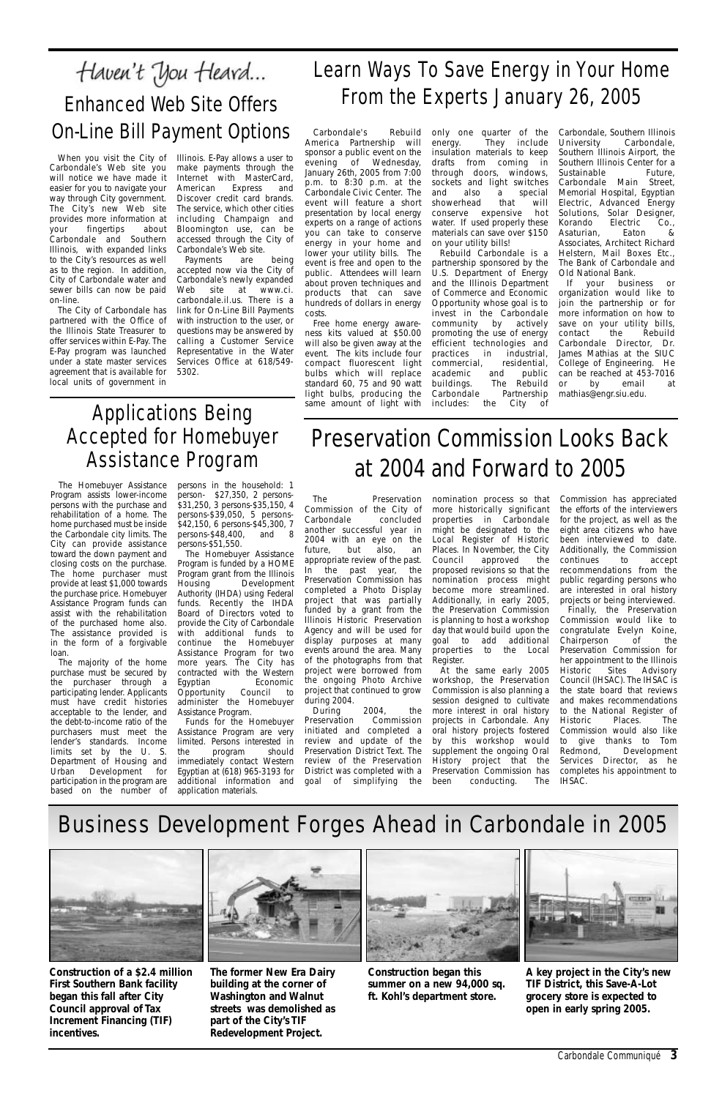Carbondale Communiqué **3**

The Preservation Commission of the City of Carbondale another successful year in 2004 with an eye on the future, but also, an appropriate review of the past. In the past year, the Preservation Commission has completed a Photo Display project that was partially funded by a grant from the Illinois Historic Preservation Agency and will be used for display purposes at many events around the area. Many of the photographs from that project were borrowed from the ongoing Photo Archive project that continued to grow during 2004.

During 2004, the<br>reservation Commission Preservation initiated and completed a review and update of the Preservation District Text. The review of the Preservation District was completed with a goal of simplifying the nomination process so that more historically significant properties in Carbondale might be designated to the Local Register of Historic Places. In November, the City Council approved the proposed revisions so that the nomination process might become more streamlined. Additionally, in early 2005, the Preservation Commission is planning to host a workshop day that would build upon the goal to add additional properties to the Local Register.

At the same early 2005 workshop, the Preservation Commission is also planning a session designed to cultivate more interest in oral history projects in Carbondale. Any oral history projects fostered by this workshop would supplement the ongoing Oral History project that the Preservation Commission has been conducting. The

Commission has appreciated the efforts of the interviewers for the project, as well as the eight area citizens who have been interviewed to date. Additionally, the Commission continues to accept recommendations from the public regarding persons who are interested in oral history projects or being interviewed.

Finally, the Preservation Commission would like to congratulate Evelyn Koine, Chairperson of the Preservation Commission for her appointment to the Illinois Historic Sites Advisory Council (IHSAC). The IHSAC is the state board that reviews and makes recommendations to the National Register of<br>Historic Places. The Places. The Commission would also like to give thanks to Tom Redmond, Development Services Director, as he completes his appointment to IHSAC.

# Business Development Forges Ahead in Carbondale in 2005







**Construction of a \$2.4 million First Southern Bank facility began this fall after City Council approval of Tax Increment Financing (TIF) incentives.**

**The former New Era Dairy building at the corner of Washington and Walnut streets was demolished as part of the City's TIF Redevelopment Project.**

Free home energy awareness kits valued at \$50.00 will also be given away at the event. The kits include four compact fluorescent light bulbs which will replace standard 60, 75 and 90 watt light bulbs, producing the same amount of light with includes:

> **Construction began this summer on a new 94,000 sq. ft. Kohl's department store.**

#### Haven't You Heard... Learn Ways To Save Energy in Your Home From the Experts January 26, 2005 Enhanced Web Site Offers On-Line Bill Payment OptionsCarbondale's Carbondale, Southern Illinois Rebuild only one quarter of the America Partnership will energy. They include

**A key project in the City's new TIF District, this Save-A-Lot grocery store is expected to open in early spring 2005.**

Rebuild Carbondale is a partnership sponsored by the U.S. Department of Energy and the Illinois Department of Commerce and Economic Opportunity whose goal is to invest in the Carbondale community by actively promoting the use of energy efficient technologies and practices in industrial, commercial, residential, academic and public buildings. The Rebuild<br>Carbondale Partnership Carbondale the City of

# Preservation Commission Looks Back at 2004 and Forward to 2005

The Homebuyer Assistance Program assists lower-income persons with the purchase and rehabilitation of a home. The home purchased must be inside the Carbondale city limits. The City can provide assistance toward the down payment and closing costs on the purchase. The home purchaser must provide at least \$1,000 towards the purchase price. Homebuyer Assistance Program funds can assist with the rehabilitation of the purchased home also. The assistance provided is in the form of a forgivable loan.

The majority of the home purchase must be secured by the purchaser through a participating lender. Applicants must have credit histories acceptable to the lender, and the debt-to-income ratio of the purchasers must meet the lender's standards. Income limits set by the U. S. Department of Housing and Urban Development for participation in the program are based on the number of

persons in the household: 1 person- \$27,350, 2 persons- \$31,250, 3 persons-\$35,150, 4 persons-\$39,050, 5 persons- \$42,150, 6 persons-\$45,300, 7 persons-\$48,400, and 8 persons-\$51,550.

The Homebuyer Assistance Program is funded by a HOME Program grant from the Illinois<br>Housing Development Development Authority (IHDA) using Federal funds. Recently the IHDA Board of Directors voted to provide the City of Carbondale with additional funds to continue the Homebuyer Assistance Program for two more years. The City has contracted with the Western Egyptian Economic<br>Opportunity Council to Opportunity Council to administer the Homebuyer Assistance Program.

Funds for the Homebuyer Assistance Program are very limited. Persons interested in the program should immediately contact Western Egyptian at (618) 965-3193 for additional information and application materials.

### Applications Being Accepted for Homebuyer Assistance Program

sponsor a public event on the evening of Wednesday, January 26th, 2005 from 7:00 p.m. to 8:30 p.m. at the Carbondale Civic Center. The event will feature a short presentation by local energy experts on a range of actions you can take to conserve energy in your home and lower your utility bills. The event is free and open to the public. Attendees will learn about proven techniques and products that can save hundreds of dollars in energy costs.

insulation materials to keep drafts from coming in through doors, windows, sockets and light switches and also a special showerhead that will conserve expensive hot water. If used properly these materials can save over \$150 on your utility bills!

University Carbondale, Southern Illinois Airport, the Southern Illinois Center for a Sustainable Future, Carbondale Main Street, Memorial Hospital, Egyptian Electric, Advanced Energy Solutions, Solar Designer, Korando Electric Co., Asaturian, Eaton & Associates, Architect Richard Helstern, Mail Boxes Etc., The Bank of Carbondale and Old National Bank.

If your business or organization would like to join the partnership or for more information on how to save on your utility bills, contact the Rebuild Carbondale Director, Dr. James Mathias at the SIUC College of Engineering. He can be reached at 453-7016 or by email at mathias@engr.siu.edu.

Carbondale's Web site you will notice we have made it easier for you to navigate your way through City government. The City's new Web site provides more information at your fingertips about Carbondale and Southern Illinois, with expanded links to the City's resources as well as to the region. In addition, City of Carbondale water and sewer bills can now be paid on-line.

When you visit the City of Illinois. E-Pay allows a user to make payments through the Internet with MasterCard,<br>American Express and American Express and Discover credit card brands. The service, which other cities including Champaign and Bloomington use, can be accessed through the City of Carbondale's Web site.

The City of Carbondale has partnered with the Office of the Illinois State Treasurer to offer services within E-Pay. The E-Pay program was launched under a state master services agreement that is available for local units of government in

Payments are being accepted now via the City of Carbondale's newly expanded Web site at www.ci. carbondale.il.us. There is a link for On-Line Bill Payments with instruction to the user, or questions may be answered by calling a Customer Service Representative in the Water Services Office at 618/549- 5302.